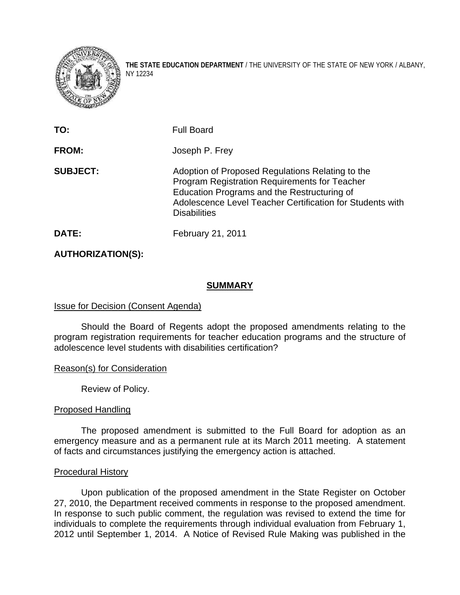

**THE STATE EDUCATION DEPARTMENT** / THE UNIVERSITY OF THE STATE OF NEW YORK / ALBANY, NY 12234

| TO:             | <b>Full Board</b>                                                                                                                                                                                                                           |
|-----------------|---------------------------------------------------------------------------------------------------------------------------------------------------------------------------------------------------------------------------------------------|
| FROM:           | Joseph P. Frey                                                                                                                                                                                                                              |
| <b>SUBJECT:</b> | Adoption of Proposed Regulations Relating to the<br><b>Program Registration Requirements for Teacher</b><br>Education Programs and the Restructuring of<br>Adolescence Level Teacher Certification for Students with<br><b>Disabilities</b> |
| DATE:           | February 21, 2011                                                                                                                                                                                                                           |

**AUTHORIZATION(S):** 

### **SUMMARY**

## Issue for Decision (Consent Agenda)

 Should the Board of Regents adopt the proposed amendments relating to the program registration requirements for teacher education programs and the structure of adolescence level students with disabilities certification?

## Reason(s) for Consideration

Review of Policy.

#### Proposed Handling

The proposed amendment is submitted to the Full Board for adoption as an emergency measure and as a permanent rule at its March 2011 meeting. A statement of facts and circumstances justifying the emergency action is attached.

#### Procedural History

Upon publication of the proposed amendment in the State Register on October 27, 2010, the Department received comments in response to the proposed amendment. In response to such public comment, the regulation was revised to extend the time for individuals to complete the requirements through individual evaluation from February 1, 2012 until September 1, 2014. A Notice of Revised Rule Making was published in the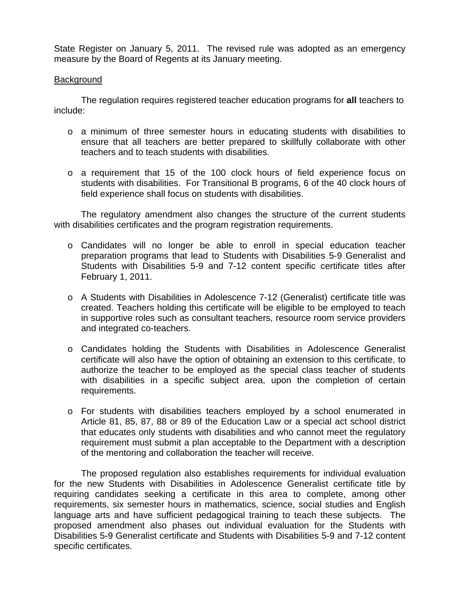State Register on January 5, 2011. The revised rule was adopted as an emergency measure by the Board of Regents at its January meeting.

#### **Background**

The regulation requires registered teacher education programs for **all** teachers to include:

- o a minimum of three semester hours in educating students with disabilities to ensure that all teachers are better prepared to skillfully collaborate with other teachers and to teach students with disabilities.
- o a requirement that 15 of the 100 clock hours of field experience focus on students with disabilities. For Transitional B programs, 6 of the 40 clock hours of field experience shall focus on students with disabilities.

The regulatory amendment also changes the structure of the current students with disabilities certificates and the program registration requirements.

- o Candidates will no longer be able to enroll in special education teacher preparation programs that lead to Students with Disabilities 5-9 Generalist and Students with Disabilities 5-9 and 7-12 content specific certificate titles after February 1, 2011.
- o A Students with Disabilities in Adolescence 7-12 (Generalist) certificate title was created. Teachers holding this certificate will be eligible to be employed to teach in supportive roles such as consultant teachers, resource room service providers and integrated co-teachers.
- o Candidates holding the Students with Disabilities in Adolescence Generalist certificate will also have the option of obtaining an extension to this certificate, to authorize the teacher to be employed as the special class teacher of students with disabilities in a specific subject area, upon the completion of certain requirements.
- o For students with disabilities teachers employed by a school enumerated in Article 81, 85, 87, 88 or 89 of the Education Law or a special act school district that educates only students with disabilities and who cannot meet the regulatory requirement must submit a plan acceptable to the Department with a description of the mentoring and collaboration the teacher will receive.

The proposed regulation also establishes requirements for individual evaluation for the new Students with Disabilities in Adolescence Generalist certificate title by requiring candidates seeking a certificate in this area to complete, among other requirements, six semester hours in mathematics, science, social studies and English language arts and have sufficient pedagogical training to teach these subjects. The proposed amendment also phases out individual evaluation for the Students with Disabilities 5-9 Generalist certificate and Students with Disabilities 5-9 and 7-12 content specific certificates.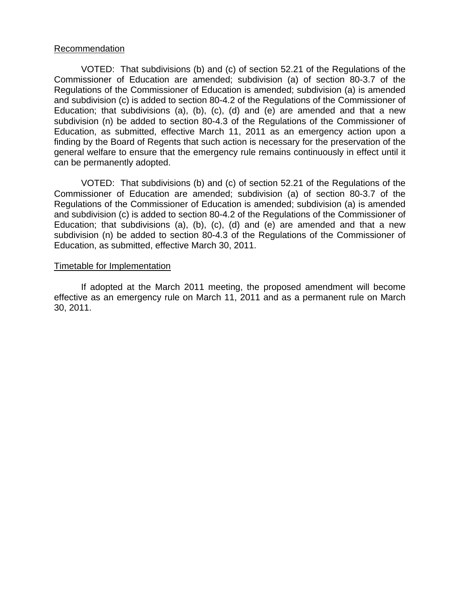#### Recommendation

VOTED: That subdivisions (b) and (c) of section 52.21 of the Regulations of the Commissioner of Education are amended; subdivision (a) of section 80-3.7 of the Regulations of the Commissioner of Education is amended; subdivision (a) is amended and subdivision (c) is added to section 80-4.2 of the Regulations of the Commissioner of Education; that subdivisions (a), (b), (c), (d) and (e) are amended and that a new subdivision (n) be added to section 80-4.3 of the Regulations of the Commissioner of Education, as submitted, effective March 11, 2011 as an emergency action upon a finding by the Board of Regents that such action is necessary for the preservation of the general welfare to ensure that the emergency rule remains continuously in effect until it can be permanently adopted.

VOTED: That subdivisions (b) and (c) of section 52.21 of the Regulations of the Commissioner of Education are amended; subdivision (a) of section 80-3.7 of the Regulations of the Commissioner of Education is amended; subdivision (a) is amended and subdivision (c) is added to section 80-4.2 of the Regulations of the Commissioner of Education; that subdivisions (a), (b), (c), (d) and (e) are amended and that a new subdivision (n) be added to section 80-4.3 of the Regulations of the Commissioner of Education, as submitted, effective March 30, 2011.

#### Timetable for Implementation

 If adopted at the March 2011 meeting, the proposed amendment will become effective as an emergency rule on March 11, 2011 and as a permanent rule on March 30, 2011.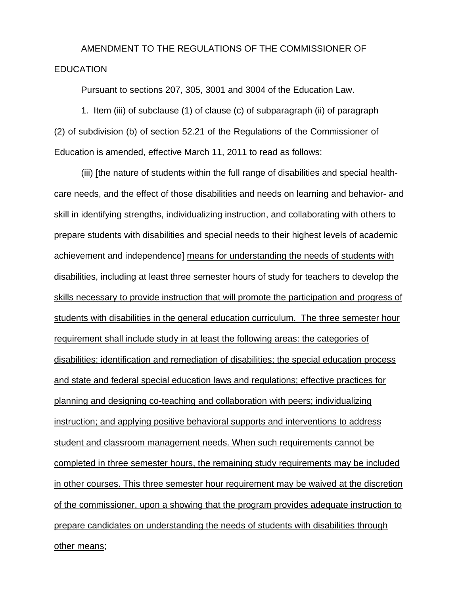# AMENDMENT TO THE REGULATIONS OF THE COMMISSIONER OF EDUCATION

Pursuant to sections 207, 305, 3001 and 3004 of the Education Law.

1. Item (iii) of subclause (1) of clause (c) of subparagraph (ii) of paragraph (2) of subdivision (b) of section 52.21 of the Regulations of the Commissioner of Education is amended, effective March 11, 2011 to read as follows:

(iii) [the nature of students within the full range of disabilities and special healthcare needs, and the effect of those disabilities and needs on learning and behavior- and skill in identifying strengths, individualizing instruction, and collaborating with others to prepare students with disabilities and special needs to their highest levels of academic achievement and independence] means for understanding the needs of students with disabilities, including at least three semester hours of study for teachers to develop the skills necessary to provide instruction that will promote the participation and progress of students with disabilities in the general education curriculum. The three semester hour requirement shall include study in at least the following areas: the categories of disabilities; identification and remediation of disabilities; the special education process and state and federal special education laws and regulations; effective practices for planning and designing co-teaching and collaboration with peers; individualizing instruction; and applying positive behavioral supports and interventions to address student and classroom management needs. When such requirements cannot be completed in three semester hours, the remaining study requirements may be included in other courses. This three semester hour requirement may be waived at the discretion of the commissioner, upon a showing that the program provides adequate instruction to prepare candidates on understanding the needs of students with disabilities through other means;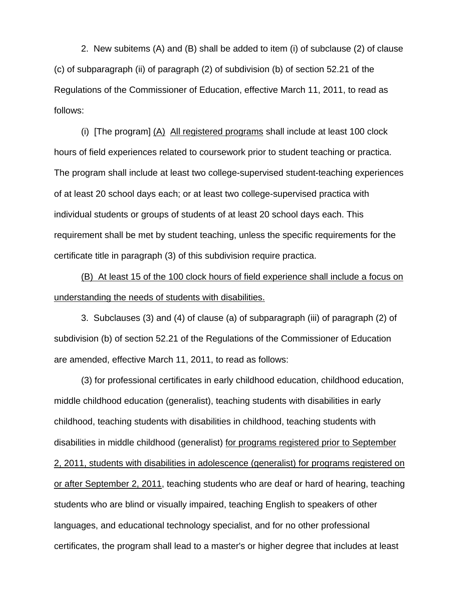2. New subitems (A) and (B) shall be added to item (i) of subclause (2) of clause (c) of subparagraph (ii) of paragraph (2) of subdivision (b) of section 52.21 of the Regulations of the Commissioner of Education, effective March 11, 2011, to read as follows:

(i) [The program]  $(A)$  All registered programs shall include at least 100 clock hours of field experiences related to coursework prior to student teaching or practica. The program shall include at least two college-supervised student-teaching experiences of at least 20 school days each; or at least two college-supervised practica with individual students or groups of students of at least 20 school days each. This requirement shall be met by student teaching, unless the specific requirements for the certificate title in paragraph (3) of this subdivision require practica.

(B) At least 15 of the 100 clock hours of field experience shall include a focus on understanding the needs of students with disabilities.

3. Subclauses (3) and (4) of clause (a) of subparagraph (iii) of paragraph (2) of subdivision (b) of section 52.21 of the Regulations of the Commissioner of Education are amended, effective March 11, 2011, to read as follows:

(3) for professional certificates in early childhood education, childhood education, middle childhood education (generalist), teaching students with disabilities in early childhood, teaching students with disabilities in childhood, teaching students with disabilities in middle childhood (generalist) for programs registered prior to September 2, 2011, students with disabilities in adolescence (generalist) for programs registered on or after September 2, 2011, teaching students who are deaf or hard of hearing, teaching students who are blind or visually impaired, teaching English to speakers of other languages, and educational technology specialist, and for no other professional certificates, the program shall lead to a master's or higher degree that includes at least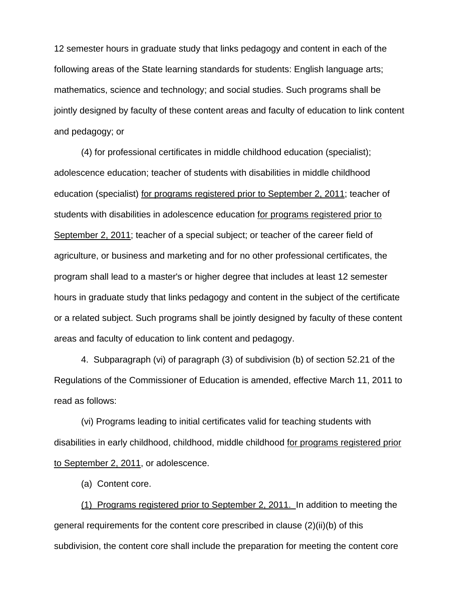12 semester hours in graduate study that links pedagogy and content in each of the following areas of the State learning standards for students: English language arts; mathematics, science and technology; and social studies. Such programs shall be jointly designed by faculty of these content areas and faculty of education to link content and pedagogy; or

(4) for professional certificates in middle childhood education (specialist); adolescence education; teacher of students with disabilities in middle childhood education (specialist) for programs registered prior to September 2, 2011; teacher of students with disabilities in adolescence education for programs registered prior to September 2, 2011; teacher of a special subject; or teacher of the career field of agriculture, or business and marketing and for no other professional certificates, the program shall lead to a master's or higher degree that includes at least 12 semester hours in graduate study that links pedagogy and content in the subject of the certificate or a related subject. Such programs shall be jointly designed by faculty of these content areas and faculty of education to link content and pedagogy.

4. Subparagraph (vi) of paragraph (3) of subdivision (b) of section 52.21 of the Regulations of the Commissioner of Education is amended, effective March 11, 2011 to read as follows:

(vi) Programs leading to initial certificates valid for teaching students with disabilities in early childhood, childhood, middle childhood for programs registered prior to September 2, 2011, or adolescence.

(a) Content core.

(1) Programs registered prior to September 2, 2011. In addition to meeting the general requirements for the content core prescribed in clause (2)(ii)(b) of this subdivision, the content core shall include the preparation for meeting the content core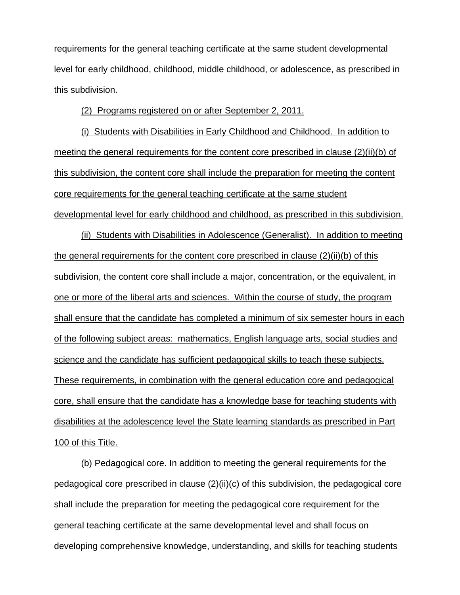requirements for the general teaching certificate at the same student developmental level for early childhood, childhood, middle childhood, or adolescence, as prescribed in this subdivision.

(2) Programs registered on or after September 2, 2011.

(i) Students with Disabilities in Early Childhood and Childhood. In addition to meeting the general requirements for the content core prescribed in clause (2)(ii)(b) of this subdivision, the content core shall include the preparation for meeting the content core requirements for the general teaching certificate at the same student developmental level for early childhood and childhood, as prescribed in this subdivision.

(ii) Students with Disabilities in Adolescence (Generalist). In addition to meeting the general requirements for the content core prescribed in clause (2)(ii)(b) of this subdivision, the content core shall include a major, concentration, or the equivalent, in one or more of the liberal arts and sciences. Within the course of study, the program shall ensure that the candidate has completed a minimum of six semester hours in each of the following subject areas: mathematics, English language arts, social studies and science and the candidate has sufficient pedagogical skills to teach these subjects. These requirements, in combination with the general education core and pedagogical core, shall ensure that the candidate has a knowledge base for teaching students with disabilities at the adolescence level the State learning standards as prescribed in Part 100 of this Title.

(b) Pedagogical core. In addition to meeting the general requirements for the pedagogical core prescribed in clause (2)(ii)(c) of this subdivision, the pedagogical core shall include the preparation for meeting the pedagogical core requirement for the general teaching certificate at the same developmental level and shall focus on developing comprehensive knowledge, understanding, and skills for teaching students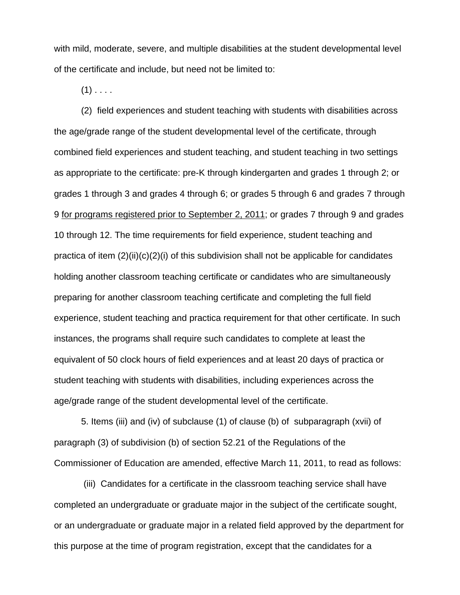with mild, moderate, severe, and multiple disabilities at the student developmental level of the certificate and include, but need not be limited to:

 $(1)$  . . . .

(2) field experiences and student teaching with students with disabilities across the age/grade range of the student developmental level of the certificate, through combined field experiences and student teaching, and student teaching in two settings as appropriate to the certificate: pre-K through kindergarten and grades 1 through 2; or grades 1 through 3 and grades 4 through 6; or grades 5 through 6 and grades 7 through 9 for programs registered prior to September 2, 2011; or grades 7 through 9 and grades 10 through 12. The time requirements for field experience, student teaching and practica of item  $(2)(ii)(c)(2)(i)$  of this subdivision shall not be applicable for candidates holding another classroom teaching certificate or candidates who are simultaneously preparing for another classroom teaching certificate and completing the full field experience, student teaching and practica requirement for that other certificate. In such instances, the programs shall require such candidates to complete at least the equivalent of 50 clock hours of field experiences and at least 20 days of practica or student teaching with students with disabilities, including experiences across the age/grade range of the student developmental level of the certificate.

5. Items (iii) and (iv) of subclause (1) of clause (b) of subparagraph (xvii) of paragraph (3) of subdivision (b) of section 52.21 of the Regulations of the Commissioner of Education are amended, effective March 11, 2011, to read as follows:

 (iii) Candidates for a certificate in the classroom teaching service shall have completed an undergraduate or graduate major in the subject of the certificate sought, or an undergraduate or graduate major in a related field approved by the department for this purpose at the time of program registration, except that the candidates for a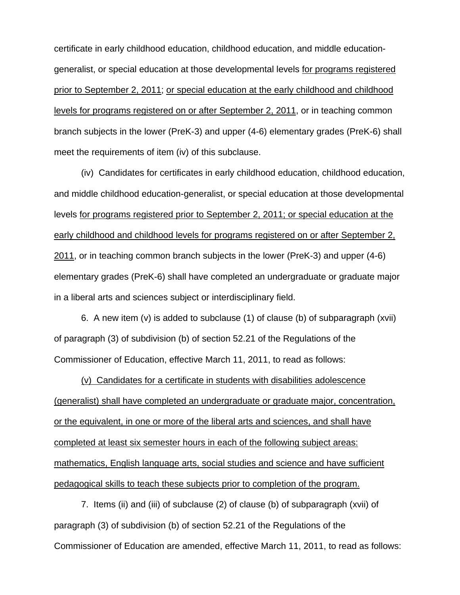certificate in early childhood education, childhood education, and middle educationgeneralist, or special education at those developmental levels for programs registered prior to September 2, 2011; or special education at the early childhood and childhood levels for programs registered on or after September 2, 2011, or in teaching common branch subjects in the lower (PreK-3) and upper (4-6) elementary grades (PreK-6) shall meet the requirements of item (iv) of this subclause.

(iv) Candidates for certificates in early childhood education, childhood education, and middle childhood education-generalist, or special education at those developmental levels for programs registered prior to September 2, 2011; or special education at the early childhood and childhood levels for programs registered on or after September 2, 2011, or in teaching common branch subjects in the lower (PreK-3) and upper (4-6) elementary grades (PreK-6) shall have completed an undergraduate or graduate major in a liberal arts and sciences subject or interdisciplinary field.

6. A new item (v) is added to subclause (1) of clause (b) of subparagraph (xvii) of paragraph (3) of subdivision (b) of section 52.21 of the Regulations of the Commissioner of Education, effective March 11, 2011, to read as follows:

(v) Candidates for a certificate in students with disabilities adolescence (generalist) shall have completed an undergraduate or graduate major, concentration, or the equivalent, in one or more of the liberal arts and sciences, and shall have completed at least six semester hours in each of the following subject areas: mathematics, English language arts, social studies and science and have sufficient pedagogical skills to teach these subjects prior to completion of the program.

7. Items (ii) and (iii) of subclause (2) of clause (b) of subparagraph (xvii) of paragraph (3) of subdivision (b) of section 52.21 of the Regulations of the Commissioner of Education are amended, effective March 11, 2011, to read as follows: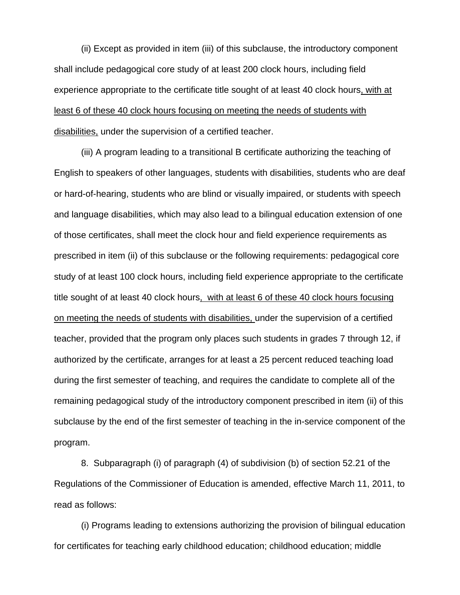(ii) Except as provided in item (iii) of this subclause, the introductory component shall include pedagogical core study of at least 200 clock hours, including field experience appropriate to the certificate title sought of at least 40 clock hours, with at least 6 of these 40 clock hours focusing on meeting the needs of students with disabilities, under the supervision of a certified teacher.

(iii) A program leading to a transitional B certificate authorizing the teaching of English to speakers of other languages, students with disabilities, students who are deaf or hard-of-hearing, students who are blind or visually impaired, or students with speech and language disabilities, which may also lead to a bilingual education extension of one of those certificates, shall meet the clock hour and field experience requirements as prescribed in item (ii) of this subclause or the following requirements: pedagogical core study of at least 100 clock hours, including field experience appropriate to the certificate title sought of at least 40 clock hours, with at least 6 of these 40 clock hours focusing on meeting the needs of students with disabilities, under the supervision of a certified teacher, provided that the program only places such students in grades 7 through 12, if authorized by the certificate, arranges for at least a 25 percent reduced teaching load during the first semester of teaching, and requires the candidate to complete all of the remaining pedagogical study of the introductory component prescribed in item (ii) of this subclause by the end of the first semester of teaching in the in-service component of the program.

8. Subparagraph (i) of paragraph (4) of subdivision (b) of section 52.21 of the Regulations of the Commissioner of Education is amended, effective March 11, 2011, to read as follows:

(i) Programs leading to extensions authorizing the provision of bilingual education for certificates for teaching early childhood education; childhood education; middle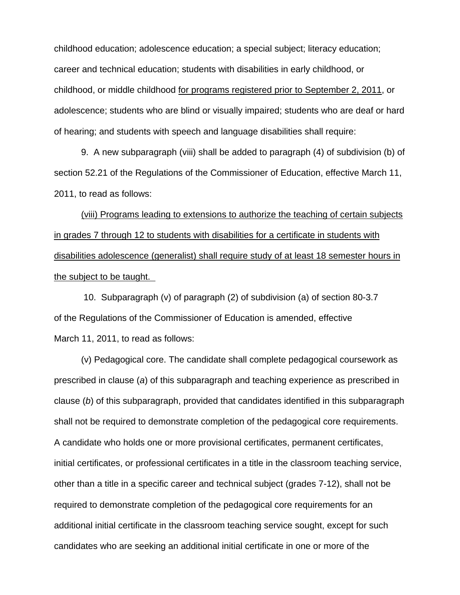childhood education; adolescence education; a special subject; literacy education; career and technical education; students with disabilities in early childhood, or childhood, or middle childhood for programs registered prior to September 2, 2011, or adolescence; students who are blind or visually impaired; students who are deaf or hard of hearing; and students with speech and language disabilities shall require:

9. A new subparagraph (viii) shall be added to paragraph (4) of subdivision (b) of section 52.21 of the Regulations of the Commissioner of Education, effective March 11, 2011, to read as follows:

(viii) Programs leading to extensions to authorize the teaching of certain subjects in grades 7 through 12 to students with disabilities for a certificate in students with disabilities adolescence (generalist) shall require study of at least 18 semester hours in the subject to be taught.

 10. Subparagraph (v) of paragraph (2) of subdivision (a) of section 80-3.7 of the Regulations of the Commissioner of Education is amended, effective March 11, 2011, to read as follows:

(v) Pedagogical core. The candidate shall complete pedagogical coursework as prescribed in clause (*a*) of this subparagraph and teaching experience as prescribed in clause (*b*) of this subparagraph, provided that candidates identified in this subparagraph shall not be required to demonstrate completion of the pedagogical core requirements. A candidate who holds one or more provisional certificates, permanent certificates, initial certificates, or professional certificates in a title in the classroom teaching service, other than a title in a specific career and technical subject (grades 7-12), shall not be required to demonstrate completion of the pedagogical core requirements for an additional initial certificate in the classroom teaching service sought, except for such candidates who are seeking an additional initial certificate in one or more of the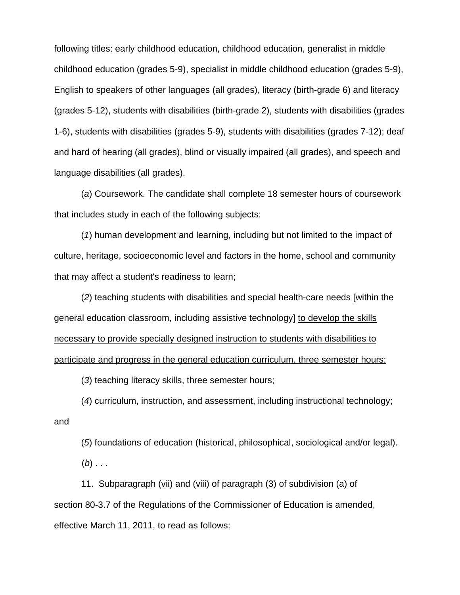following titles: early childhood education, childhood education, generalist in middle childhood education (grades 5-9), specialist in middle childhood education (grades 5-9), English to speakers of other languages (all grades), literacy (birth-grade 6) and literacy (grades 5-12), students with disabilities (birth-grade 2), students with disabilities (grades 1-6), students with disabilities (grades 5-9), students with disabilities (grades 7-12); deaf and hard of hearing (all grades), blind or visually impaired (all grades), and speech and language disabilities (all grades).

(*a*) Coursework. The candidate shall complete 18 semester hours of coursework that includes study in each of the following subjects:

(*1*) human development and learning, including but not limited to the impact of culture, heritage, socioeconomic level and factors in the home, school and community that may affect a student's readiness to learn;

(*2*) teaching students with disabilities and special health-care needs [within the general education classroom, including assistive technology] to develop the skills necessary to provide specially designed instruction to students with disabilities to participate and progress in the general education curriculum, three semester hours;

(*3*) teaching literacy skills, three semester hours;

(*4*) curriculum, instruction, and assessment, including instructional technology; and

(*5*) foundations of education (historical, philosophical, sociological and/or legal). (*b*) . . .

11. Subparagraph (vii) and (viii) of paragraph (3) of subdivision (a) of section 80-3.7 of the Regulations of the Commissioner of Education is amended, effective March 11, 2011, to read as follows: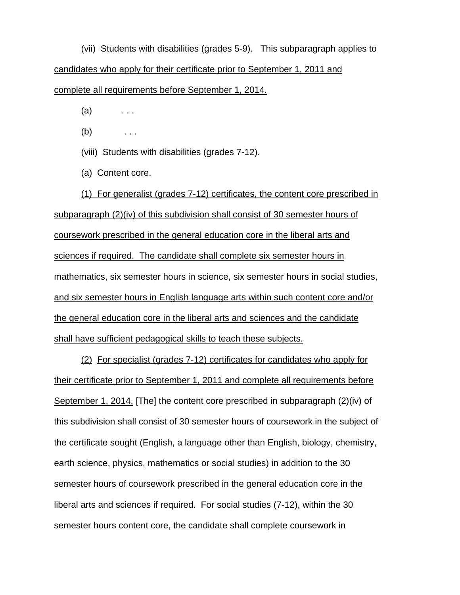(vii) Students with disabilities (grades 5-9). This subparagraph applies to candidates who apply for their certificate prior to September 1, 2011 and complete all requirements before September 1, 2014.

- $(a)$  ...
- $(b)$  ...
- (viii) Students with disabilities (grades 7-12).
- (a) Content core.

(1) For generalist (grades 7-12) certificates, the content core prescribed in subparagraph (2)(iv) of this subdivision shall consist of 30 semester hours of coursework prescribed in the general education core in the liberal arts and sciences if required. The candidate shall complete six semester hours in mathematics, six semester hours in science, six semester hours in social studies, and six semester hours in English language arts within such content core and/or the general education core in the liberal arts and sciences and the candidate shall have sufficient pedagogical skills to teach these subjects.

(2) For specialist (grades 7-12) certificates for candidates who apply for their certificate prior to September 1, 2011 and complete all requirements before September 1, 2014, [The] the content core prescribed in subparagraph (2)(iv) of this subdivision shall consist of 30 semester hours of coursework in the subject of the certificate sought (English, a language other than English, biology, chemistry, earth science, physics, mathematics or social studies) in addition to the 30 semester hours of coursework prescribed in the general education core in the liberal arts and sciences if required. For social studies (7-12), within the 30 semester hours content core, the candidate shall complete coursework in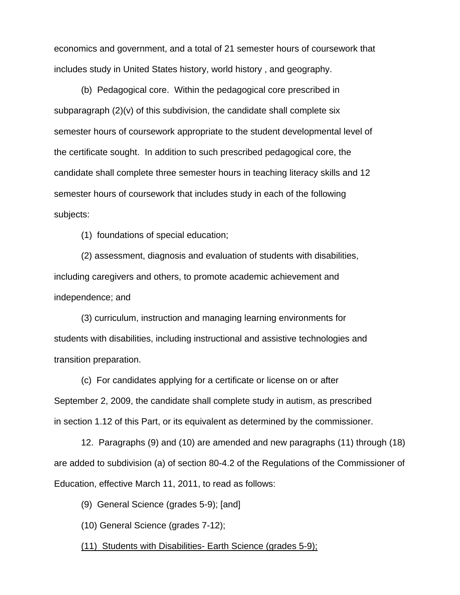economics and government, and a total of 21 semester hours of coursework that includes study in United States history, world history , and geography.

(b) Pedagogical core. Within the pedagogical core prescribed in subparagraph  $(2)(v)$  of this subdivision, the candidate shall complete six semester hours of coursework appropriate to the student developmental level of the certificate sought. In addition to such prescribed pedagogical core, the candidate shall complete three semester hours in teaching literacy skills and 12 semester hours of coursework that includes study in each of the following subjects:

(1) foundations of special education;

(2) assessment, diagnosis and evaluation of students with disabilities, including caregivers and others, to promote academic achievement and independence; and

(3) curriculum, instruction and managing learning environments for students with disabilities, including instructional and assistive technologies and transition preparation.

(c) For candidates applying for a certificate or license on or after September 2, 2009, the candidate shall complete study in autism, as prescribed in section 1.12 of this Part, or its equivalent as determined by the commissioner.

12. Paragraphs (9) and (10) are amended and new paragraphs (11) through (18) are added to subdivision (a) of section 80-4.2 of the Regulations of the Commissioner of Education, effective March 11, 2011, to read as follows:

(9) General Science (grades 5-9); [and]

(10) General Science (grades 7-12);

(11) Students with Disabilities- Earth Science (grades 5-9);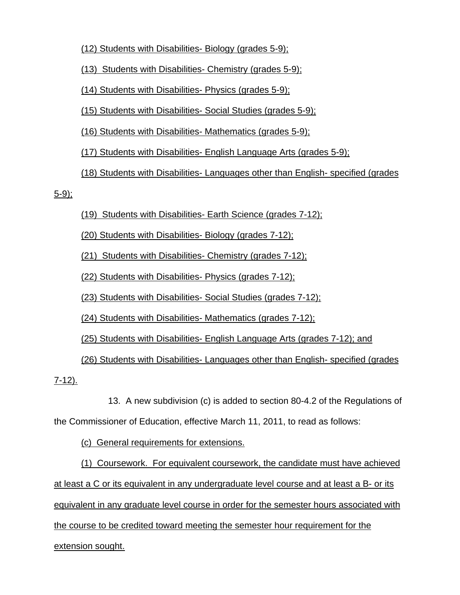(12) Students with Disabilities- Biology (grades 5-9);

(13) Students with Disabilities- Chemistry (grades 5-9);

(14) Students with Disabilities- Physics (grades 5-9);

(15) Students with Disabilities- Social Studies (grades 5-9);

(16) Students with Disabilities- Mathematics (grades 5-9);

(17) Students with Disabilities- English Language Arts (grades 5-9);

(18) Students with Disabilities- Languages other than English- specified (grades

5-9);

(19) Students with Disabilities- Earth Science (grades 7-12);

(20) Students with Disabilities- Biology (grades 7-12);

(21) Students with Disabilities- Chemistry (grades 7-12);

(22) Students with Disabilities- Physics (grades 7-12);

(23) Students with Disabilities- Social Studies (grades 7-12);

(24) Students with Disabilities- Mathematics (grades 7-12);

(25) Students with Disabilities- English Language Arts (grades 7-12); and

(26) Students with Disabilities- Languages other than English- specified (grades

7-12).

 13. A new subdivision (c) is added to section 80-4.2 of the Regulations of the Commissioner of Education, effective March 11, 2011, to read as follows:

(c) General requirements for extensions.

(1) Coursework. For equivalent coursework, the candidate must have achieved at least a C or its equivalent in any undergraduate level course and at least a B- or its equivalent in any graduate level course in order for the semester hours associated with the course to be credited toward meeting the semester hour requirement for the

extension sought.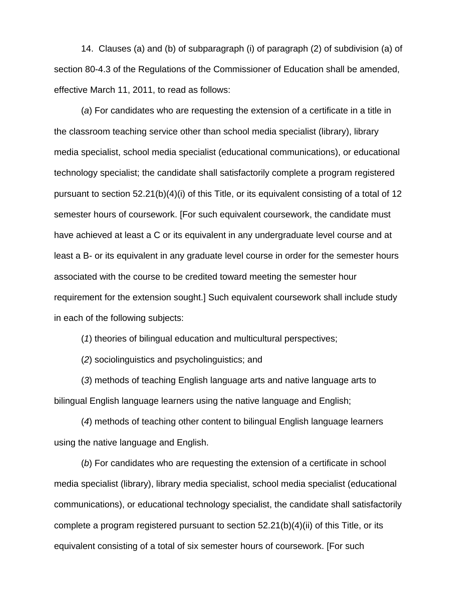14. Clauses (a) and (b) of subparagraph (i) of paragraph (2) of subdivision (a) of section 80-4.3 of the Regulations of the Commissioner of Education shall be amended, effective March 11, 2011, to read as follows:

(*a*) For candidates who are requesting the extension of a certificate in a title in the classroom teaching service other than school media specialist (library), library media specialist, school media specialist (educational communications), or educational technology specialist; the candidate shall satisfactorily complete a program registered pursuant to section 52.21(b)(4)(i) of this Title, or its equivalent consisting of a total of 12 semester hours of coursework. [For such equivalent coursework, the candidate must have achieved at least a C or its equivalent in any undergraduate level course and at least a B- or its equivalent in any graduate level course in order for the semester hours associated with the course to be credited toward meeting the semester hour requirement for the extension sought.] Such equivalent coursework shall include study in each of the following subjects:

(*1*) theories of bilingual education and multicultural perspectives;

(*2*) sociolinguistics and psycholinguistics; and

(*3*) methods of teaching English language arts and native language arts to bilingual English language learners using the native language and English;

(*4*) methods of teaching other content to bilingual English language learners using the native language and English.

(*b*) For candidates who are requesting the extension of a certificate in school media specialist (library), library media specialist, school media specialist (educational communications), or educational technology specialist, the candidate shall satisfactorily complete a program registered pursuant to section  $52.21(b)(4)(ii)$  of this Title, or its equivalent consisting of a total of six semester hours of coursework. [For such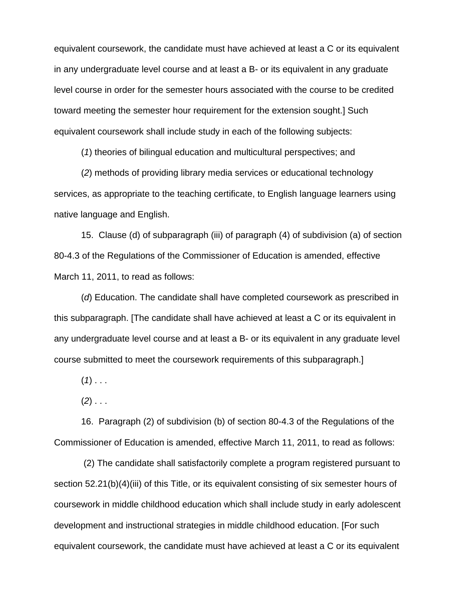equivalent coursework, the candidate must have achieved at least a C or its equivalent in any undergraduate level course and at least a B- or its equivalent in any graduate level course in order for the semester hours associated with the course to be credited toward meeting the semester hour requirement for the extension sought.] Such equivalent coursework shall include study in each of the following subjects:

(*1*) theories of bilingual education and multicultural perspectives; and

(*2*) methods of providing library media services or educational technology services, as appropriate to the teaching certificate, to English language learners using native language and English.

15. Clause (d) of subparagraph (iii) of paragraph (4) of subdivision (a) of section 80-4.3 of the Regulations of the Commissioner of Education is amended, effective March 11, 2011, to read as follows:

(*d*) Education. The candidate shall have completed coursework as prescribed in this subparagraph. [The candidate shall have achieved at least a C or its equivalent in any undergraduate level course and at least a B- or its equivalent in any graduate level course submitted to meet the coursework requirements of this subparagraph.]

 $(1)$  . . .

(*2*) . . .

16. Paragraph (2) of subdivision (b) of section 80-4.3 of the Regulations of the Commissioner of Education is amended, effective March 11, 2011, to read as follows:

 (2) The candidate shall satisfactorily complete a program registered pursuant to section 52.21(b)(4)(iii) of this Title, or its equivalent consisting of six semester hours of coursework in middle childhood education which shall include study in early adolescent development and instructional strategies in middle childhood education. [For such equivalent coursework, the candidate must have achieved at least a C or its equivalent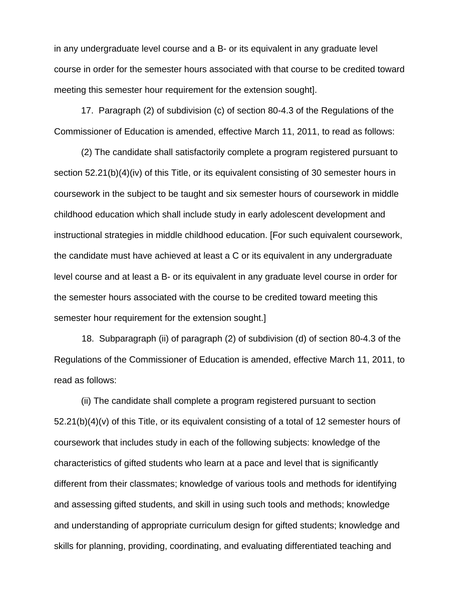in any undergraduate level course and a B- or its equivalent in any graduate level course in order for the semester hours associated with that course to be credited toward meeting this semester hour requirement for the extension sought].

17. Paragraph (2) of subdivision (c) of section 80-4.3 of the Regulations of the Commissioner of Education is amended, effective March 11, 2011, to read as follows:

(2) The candidate shall satisfactorily complete a program registered pursuant to section 52.21(b)(4)(iv) of this Title, or its equivalent consisting of 30 semester hours in coursework in the subject to be taught and six semester hours of coursework in middle childhood education which shall include study in early adolescent development and instructional strategies in middle childhood education. [For such equivalent coursework, the candidate must have achieved at least a C or its equivalent in any undergraduate level course and at least a B- or its equivalent in any graduate level course in order for the semester hours associated with the course to be credited toward meeting this semester hour requirement for the extension sought.]

 18. Subparagraph (ii) of paragraph (2) of subdivision (d) of section 80-4.3 of the Regulations of the Commissioner of Education is amended, effective March 11, 2011, to read as follows:

(ii) The candidate shall complete a program registered pursuant to section 52.21(b)(4)(v) of this Title, or its equivalent consisting of a total of 12 semester hours of coursework that includes study in each of the following subjects: knowledge of the characteristics of gifted students who learn at a pace and level that is significantly different from their classmates; knowledge of various tools and methods for identifying and assessing gifted students, and skill in using such tools and methods; knowledge and understanding of appropriate curriculum design for gifted students; knowledge and skills for planning, providing, coordinating, and evaluating differentiated teaching and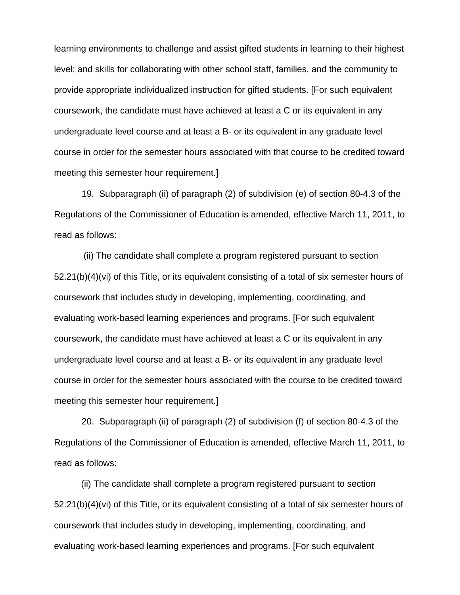learning environments to challenge and assist gifted students in learning to their highest level; and skills for collaborating with other school staff, families, and the community to provide appropriate individualized instruction for gifted students. [For such equivalent coursework, the candidate must have achieved at least a C or its equivalent in any undergraduate level course and at least a B- or its equivalent in any graduate level course in order for the semester hours associated with that course to be credited toward meeting this semester hour requirement.]

 19. Subparagraph (ii) of paragraph (2) of subdivision (e) of section 80-4.3 of the Regulations of the Commissioner of Education is amended, effective March 11, 2011, to read as follows:

 (ii) The candidate shall complete a program registered pursuant to section 52.21(b)(4)(vi) of this Title, or its equivalent consisting of a total of six semester hours of coursework that includes study in developing, implementing, coordinating, and evaluating work-based learning experiences and programs. [For such equivalent coursework, the candidate must have achieved at least a C or its equivalent in any undergraduate level course and at least a B- or its equivalent in any graduate level course in order for the semester hours associated with the course to be credited toward meeting this semester hour requirement.]

 20. Subparagraph (ii) of paragraph (2) of subdivision (f) of section 80-4.3 of the Regulations of the Commissioner of Education is amended, effective March 11, 2011, to read as follows:

(ii) The candidate shall complete a program registered pursuant to section 52.21(b)(4)(vi) of this Title, or its equivalent consisting of a total of six semester hours of coursework that includes study in developing, implementing, coordinating, and evaluating work-based learning experiences and programs. [For such equivalent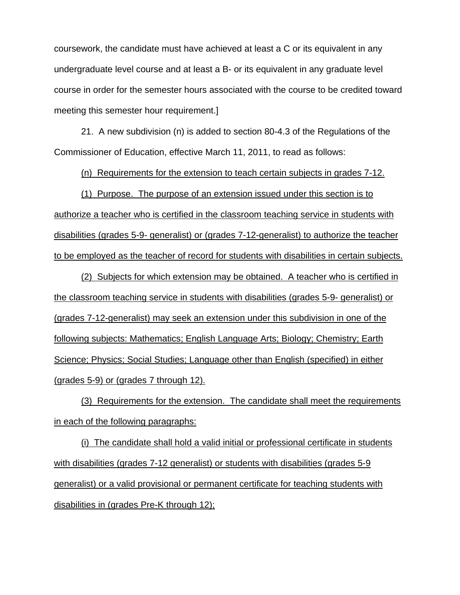coursework, the candidate must have achieved at least a C or its equivalent in any undergraduate level course and at least a B- or its equivalent in any graduate level course in order for the semester hours associated with the course to be credited toward meeting this semester hour requirement.]

21. A new subdivision (n) is added to section 80-4.3 of the Regulations of the Commissioner of Education, effective March 11, 2011, to read as follows:

(n) Requirements for the extension to teach certain subjects in grades 7-12.

(1) Purpose. The purpose of an extension issued under this section is to authorize a teacher who is certified in the classroom teaching service in students with disabilities (grades 5-9- generalist) or (grades 7-12-generalist) to authorize the teacher to be employed as the teacher of record for students with disabilities in certain subjects.

(2) Subjects for which extension may be obtained. A teacher who is certified in the classroom teaching service in students with disabilities (grades 5-9- generalist) or (grades 7-12-generalist) may seek an extension under this subdivision in one of the following subjects: Mathematics; English Language Arts; Biology; Chemistry; Earth Science; Physics; Social Studies; Language other than English (specified) in either (grades 5-9) or (grades 7 through 12).

(3) Requirements for the extension. The candidate shall meet the requirements in each of the following paragraphs:

(i) The candidate shall hold a valid initial or professional certificate in students with disabilities (grades 7-12 generalist) or students with disabilities (grades 5-9 generalist) or a valid provisional or permanent certificate for teaching students with disabilities in (grades Pre-K through 12);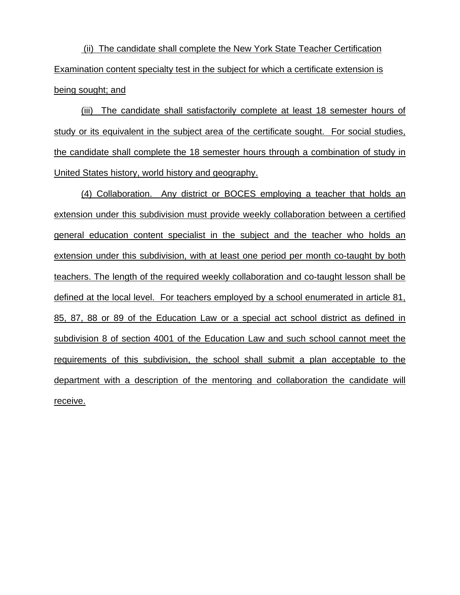(ii) The candidate shall complete the New York State Teacher Certification Examination content specialty test in the subject for which a certificate extension is being sought; and

(iii) The candidate shall satisfactorily complete at least 18 semester hours of study or its equivalent in the subject area of the certificate sought. For social studies, the candidate shall complete the 18 semester hours through a combination of study in United States history, world history and geography.

(4) Collaboration. Any district or BOCES employing a teacher that holds an extension under this subdivision must provide weekly collaboration between a certified general education content specialist in the subject and the teacher who holds an extension under this subdivision, with at least one period per month co-taught by both teachers. The length of the required weekly collaboration and co-taught lesson shall be defined at the local level. For teachers employed by a school enumerated in article 81, 85, 87, 88 or 89 of the Education Law or a special act school district as defined in subdivision 8 of section 4001 of the Education Law and such school cannot meet the requirements of this subdivision, the school shall submit a plan acceptable to the department with a description of the mentoring and collaboration the candidate will receive.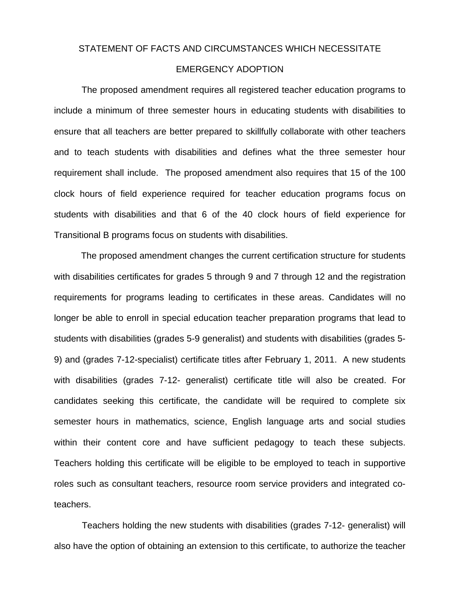#### STATEMENT OF FACTS AND CIRCUMSTANCES WHICH NECESSITATE

#### EMERGENCY ADOPTION

The proposed amendment requires all registered teacher education programs to include a minimum of three semester hours in educating students with disabilities to ensure that all teachers are better prepared to skillfully collaborate with other teachers and to teach students with disabilities and defines what the three semester hour requirement shall include. The proposed amendment also requires that 15 of the 100 clock hours of field experience required for teacher education programs focus on students with disabilities and that 6 of the 40 clock hours of field experience for Transitional B programs focus on students with disabilities.

The proposed amendment changes the current certification structure for students with disabilities certificates for grades 5 through 9 and 7 through 12 and the registration requirements for programs leading to certificates in these areas. Candidates will no longer be able to enroll in special education teacher preparation programs that lead to students with disabilities (grades 5-9 generalist) and students with disabilities (grades 5- 9) and (grades 7-12-specialist) certificate titles after February 1, 2011. A new students with disabilities (grades 7-12- generalist) certificate title will also be created. For candidates seeking this certificate, the candidate will be required to complete six semester hours in mathematics, science, English language arts and social studies within their content core and have sufficient pedagogy to teach these subjects. Teachers holding this certificate will be eligible to be employed to teach in supportive roles such as consultant teachers, resource room service providers and integrated coteachers.

Teachers holding the new students with disabilities (grades 7-12- generalist) will also have the option of obtaining an extension to this certificate, to authorize the teacher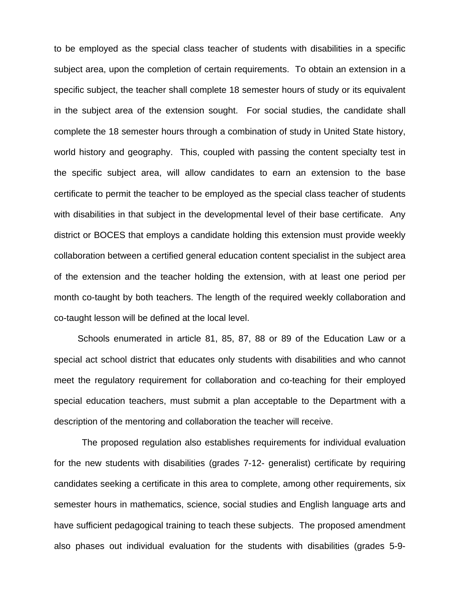to be employed as the special class teacher of students with disabilities in a specific subject area, upon the completion of certain requirements. To obtain an extension in a specific subject, the teacher shall complete 18 semester hours of study or its equivalent in the subject area of the extension sought. For social studies, the candidate shall complete the 18 semester hours through a combination of study in United State history, world history and geography. This, coupled with passing the content specialty test in the specific subject area, will allow candidates to earn an extension to the base certificate to permit the teacher to be employed as the special class teacher of students with disabilities in that subject in the developmental level of their base certificate. Any district or BOCES that employs a candidate holding this extension must provide weekly collaboration between a certified general education content specialist in the subject area of the extension and the teacher holding the extension, with at least one period per month co-taught by both teachers. The length of the required weekly collaboration and co-taught lesson will be defined at the local level.

Schools enumerated in article 81, 85, 87, 88 or 89 of the Education Law or a special act school district that educates only students with disabilities and who cannot meet the regulatory requirement for collaboration and co-teaching for their employed special education teachers, must submit a plan acceptable to the Department with a description of the mentoring and collaboration the teacher will receive.

The proposed regulation also establishes requirements for individual evaluation for the new students with disabilities (grades 7-12- generalist) certificate by requiring candidates seeking a certificate in this area to complete, among other requirements, six semester hours in mathematics, science, social studies and English language arts and have sufficient pedagogical training to teach these subjects. The proposed amendment also phases out individual evaluation for the students with disabilities (grades 5-9